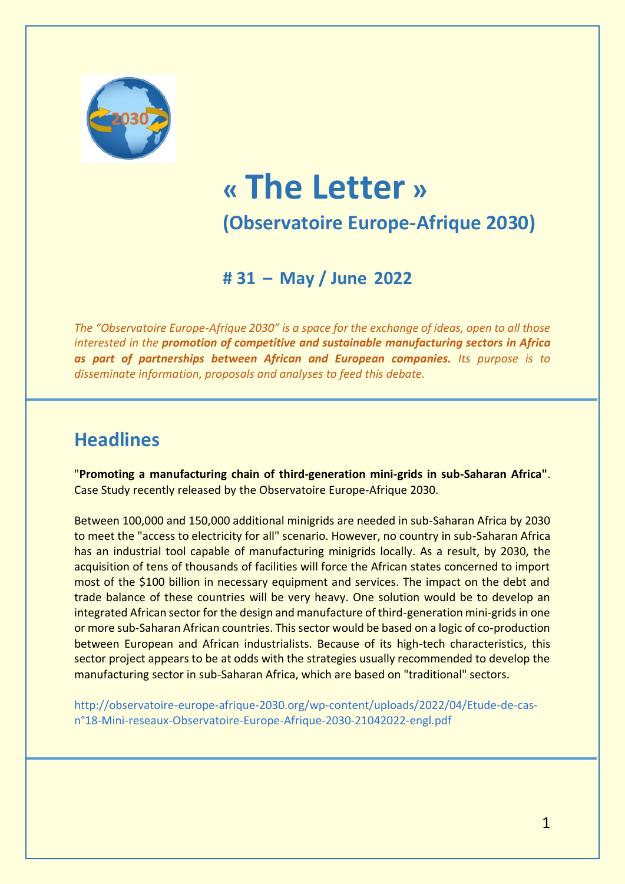

# **« The Letter » (Observatoire Europe-Afrique 2030)**

**# 31 – May / June 2022**

*The "Observatoire Europe-Afrique 2030" is a space for the exchange of ideas, open to all those interested in the promotion of competitive and sustainable manufacturing sectors in Africa as part of partnerships between African and European companies. Its purpose is to disseminate information, proposals and analyses to feed this debate.*

# **Headlines**

"**Promoting a manufacturing chain of third-generation mini-grids in sub-Saharan Africa"**. Case Study recently released by the Observatoire Europe-Afrique 2030.

Between 100,000 and 150,000 additional minigrids are needed in sub-Saharan Africa by 2030 to meet the "access to electricity for all" scenario. However, no country in sub-Saharan Africa has an industrial tool capable of manufacturing minigrids locally. As a result, by 2030, the acquisition of tens of thousands of facilities will force the African states concerned to import most of the \$100 billion in necessary equipment and services. The impact on the debt and trade balance of these countries will be very heavy. One solution would be to develop an integrated African sector for the design and manufacture of third-generation mini-grids in one or more sub-Saharan African countries. This sector would be based on a logic of co-production between European and African industrialists. Because of its high-tech characteristics, this sector project appears to be at odds with the strategies usually recommended to develop the manufacturing sector in sub-Saharan Africa, which are based on "traditional" sectors.

[http://observatoire-europe-afrique-2030.org/wp-content/uploads/2022/04/Etude-de-cas](http://observatoire-europe-afrique-2030.org/wp-content/uploads/2022/04/Etude-de-cas-n°18-Mini-reseaux-Observatoire-Europe-Afrique-2030-21042022-engl.pdf)[n°18-Mini-reseaux-Observatoire-Europe-Afrique-2030-21042022-engl.pdf](http://observatoire-europe-afrique-2030.org/wp-content/uploads/2022/04/Etude-de-cas-n°18-Mini-reseaux-Observatoire-Europe-Afrique-2030-21042022-engl.pdf)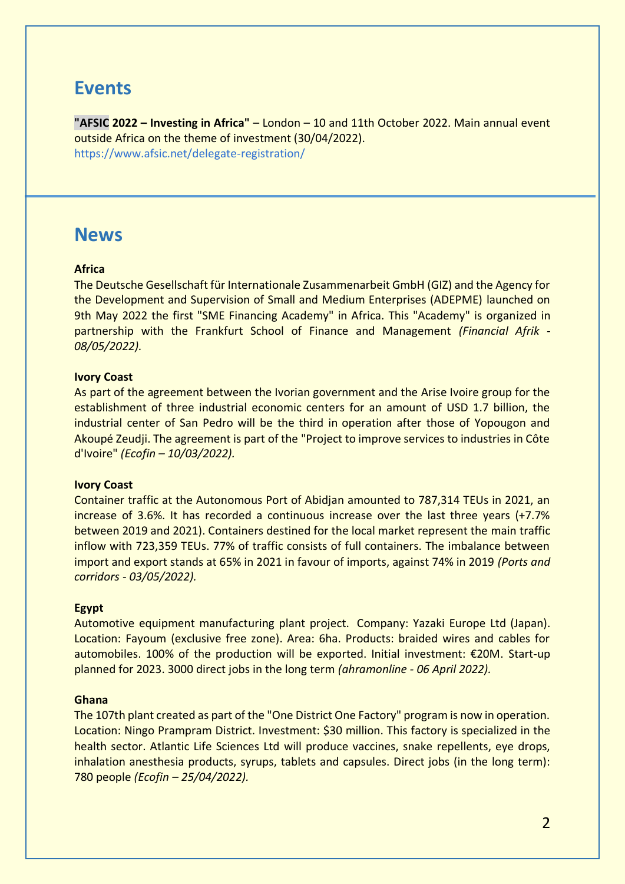## **Events**

**"AFSIC 2022 – Investing in Africa"** – London – 10 and 11th October 2022. Main annual event outside Africa on the theme of investment (30/04/2022). <https://www.afsic.net/delegate-registration/>

# **News**

### **Africa**

The Deutsche Gesellschaft für Internationale Zusammenarbeit GmbH (GIZ) and the Agency for the Development and Supervision of Small and Medium Enterprises (ADEPME) launched on 9th May 2022 the first "SME Financing Academy" in Africa. This "Academy" is organized in partnership with the Frankfurt School of Finance and Management *(Financial Afrik - 08/05/2022).*

### **Ivory Coast**

As part of the agreement between the Ivorian government and the Arise Ivoire group for the establishment of three industrial economic centers for an amount of USD 1.7 billion, the industrial center of San Pedro will be the third in operation after those of Yopougon and Akoupé Zeudji. The agreement is part of the "Project to improve services to industries in Côte d'Ivoire" *(Ecofin – 10/03/2022).*

### **Ivory Coast**

Container traffic at the Autonomous Port of Abidjan amounted to 787,314 TEUs in 2021, an increase of 3.6%. It has recorded a continuous increase over the last three years (+7.7% between 2019 and 2021). Containers destined for the local market represent the main traffic inflow with 723,359 TEUs. 77% of traffic consists of full containers. The imbalance between import and export stands at 65% in 2021 in favour of imports, against 74% in 2019 *(Ports and corridors - 03/05/2022).*

### **Egypt**

Automotive equipment manufacturing plant project. Company: Yazaki Europe Ltd (Japan). Location: Fayoum (exclusive free zone). Area: 6ha. Products: braided wires and cables for automobiles. 100% of the production will be exported. Initial investment: €20M. Start-up planned for 2023. 3000 direct jobs in the long term *(ahramonline - 06 April 2022).*

### **Ghana**

The 107th plant created as part of the "One District One Factory" program is now in operation. Location: Ningo Prampram District. Investment: \$30 million. This factory is specialized in the health sector. Atlantic Life Sciences Ltd will produce vaccines, snake repellents, eye drops, inhalation anesthesia products, syrups, tablets and capsules. Direct jobs (in the long term): 780 people *(Ecofin – 25/04/2022).*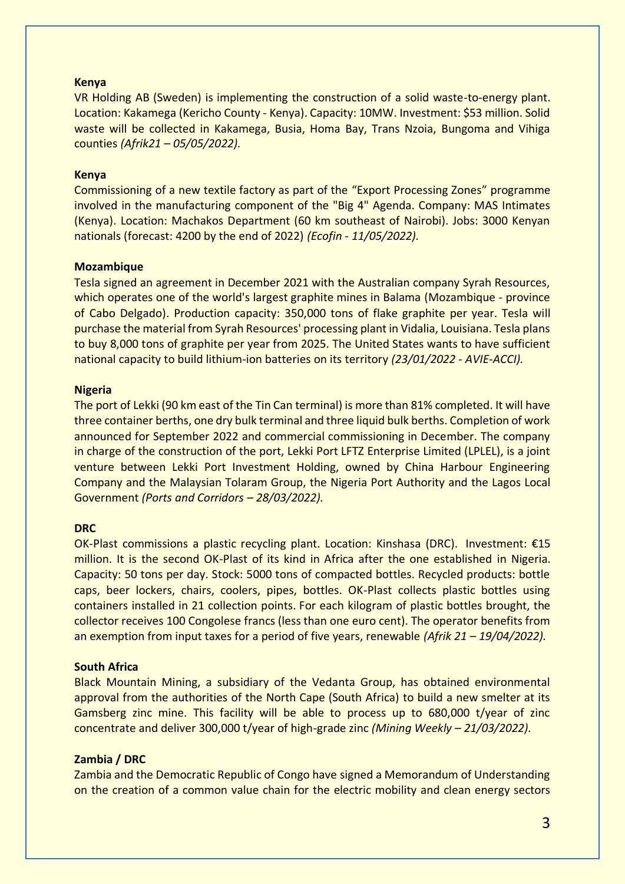### **Kenya**

VR Holding AB (Sweden) is implementing the construction of a solid waste-to-energy plant. Location: Kakamega (Kericho County - Kenya). Capacity: 10MW. Investment: \$53 million. Solid waste will be collected in Kakamega, Busia, Homa Bay, Trans Nzoia, Bungoma and Vihiga counties *(Afrik21 – 05/05/2022).*

### **Kenya**

Commissioning of a new textile factory as part of the "Export Processing Zones" programme involved in the manufacturing component of the "Big 4" Agenda. Company: MAS Intimates (Kenya). Location: Machakos Department (60 km southeast of Nairobi). Jobs: 3000 Kenyan nationals (forecast: 4200 by the end of 2022) *(Ecofin - 11/05/2022).*

#### **Mozambique**

Tesla signed an agreement in December 2021 with the Australian company Syrah Resources, which operates one of the world's largest graphite mines in Balama (Mozambique - province of Cabo Delgado). Production capacity: 350,000 tons of flake graphite per year. Tesla will purchase the material from Syrah Resources' processing plant in Vidalia, Louisiana. Tesla plans to buy 8,000 tons of graphite per year from 2025. The United States wants to have sufficient national capacity to build lithium-ion batteries on its territory *(23/01/2022 - AVIE-ACCI).*

#### **Nigeria**

The port of Lekki (90 km east of the Tin Can terminal) is more than 81% completed. It will have three container berths, one dry bulk terminal and three liquid bulk berths. Completion of work announced for September 2022 and commercial commissioning in December. The company in charge of the construction of the port, Lekki Port LFTZ Enterprise Limited (LPLEL), is a joint venture between Lekki Port Investment Holding, owned by China Harbour Engineering Company and the Malaysian Tolaram Group, the Nigeria Port Authority and the Lagos Local Government *(Ports and Corridors – 28/03/2022).* 

### **DRC**

OK-Plast commissions a plastic recycling plant. Location: Kinshasa (DRC). Investment: €15 million. It is the second OK-Plast of its kind in Africa after the one established in Nigeria. Capacity: 50 tons per day. Stock: 5000 tons of compacted bottles. Recycled products: bottle caps, beer lockers, chairs, coolers, pipes, bottles. OK-Plast collects plastic bottles using containers installed in 21 collection points. For each kilogram of plastic bottles brought, the collector receives 100 Congolese francs (less than one euro cent). The operator benefits from an exemption from input taxes for a period of five years, renewable *(Afrik 21 – 19/04/2022).*

### **South Africa**

Black Mountain Mining, a subsidiary of the Vedanta Group, has obtained environmental approval from the authorities of the North Cape (South Africa) to build a new smelter at its Gamsberg zinc mine. This facility will be able to process up to 680,000 t/year of zinc concentrate and deliver 300,000 t/year of high-grade zinc *(Mining Weekly – 21/03/2022).*

#### **Zambia / DRC**

Zambia and the Democratic Republic of Congo have signed a Memorandum of Understanding on the creation of a common value chain for the electric mobility and clean energy sectors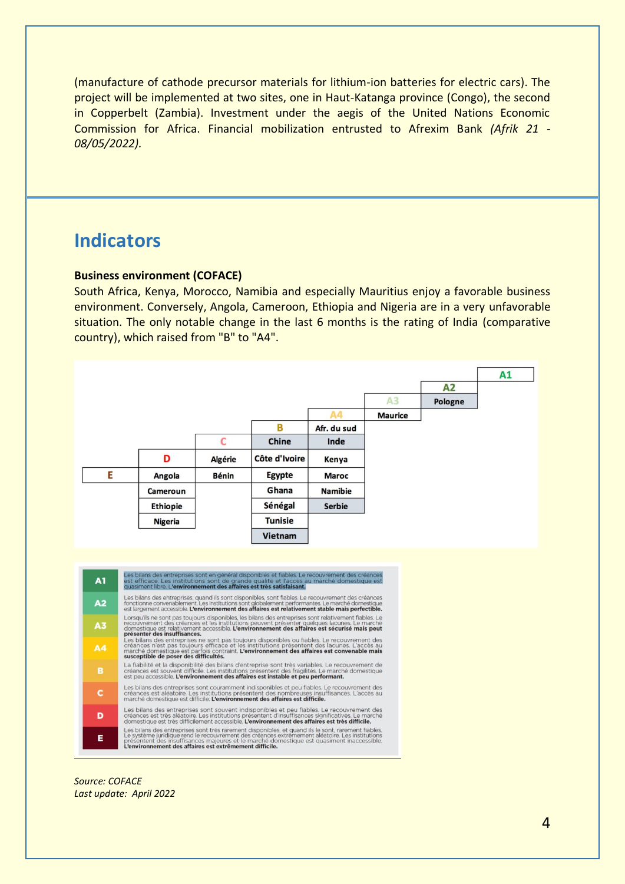(manufacture of cathode precursor materials for lithium-ion batteries for electric cars). The project will be implemented at two sites, one in Haut-Katanga province (Congo), the second in Copperbelt (Zambia). Investment under the aegis of the United Nations Economic Commission for Africa. Financial mobilization entrusted to Afrexim Bank *(Afrik 21 - 08/05/2022).*

# **Indicators**

### **Business environment (COFACE)**

South Africa, Kenya, Morocco, Namibia and especially Mauritius enjoy a favorable business environment. Conversely, Angola, Cameroon, Ethiopia and Nigeria are in a very unfavorable situation. The only notable change in the last 6 months is the rating of India (comparative country), which raised from "B" to "A4".



*Source: COFACE Last update: April 2022*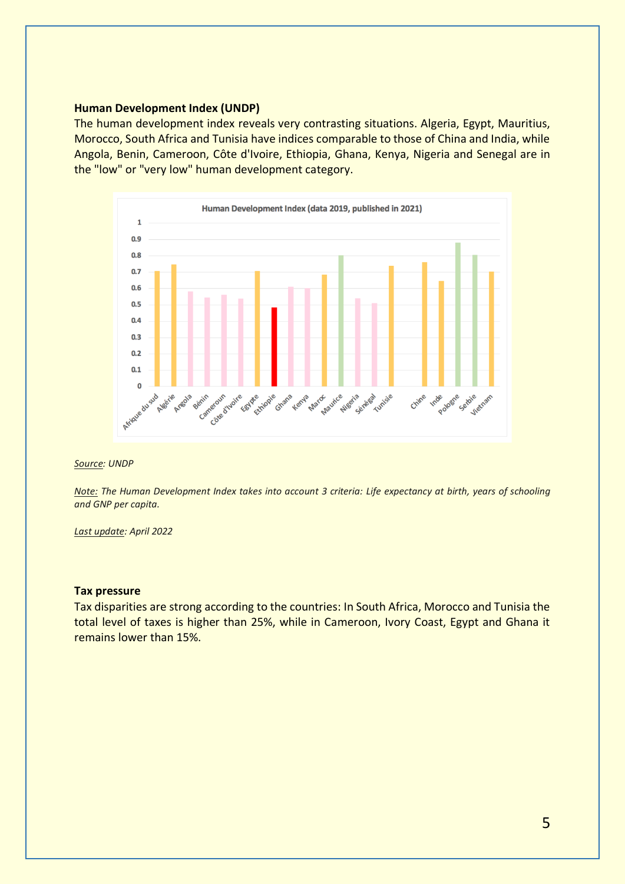### **Human Development Index (UNDP)**

The human development index reveals very contrasting situations. Algeria, Egypt, Mauritius, Morocco, South Africa and Tunisia have indices comparable to those of China and India, while Angola, Benin, Cameroon, Côte d'Ivoire, Ethiopia, Ghana, Kenya, Nigeria and Senegal are in the "low" or "very low" human development category.



#### *Source: UNDP*

Note: The Human Development Index takes into account 3 criteria: Life expectancy at birth, years of schooling *and GNP per capita.*

#### *Last update: April 2022*

#### **Tax pressure**

Tax disparities are strong according to the countries: In South Africa, Morocco and Tunisia the total level of taxes is higher than 25%, while in Cameroon, Ivory Coast, Egypt and Ghana it remains lower than 15%.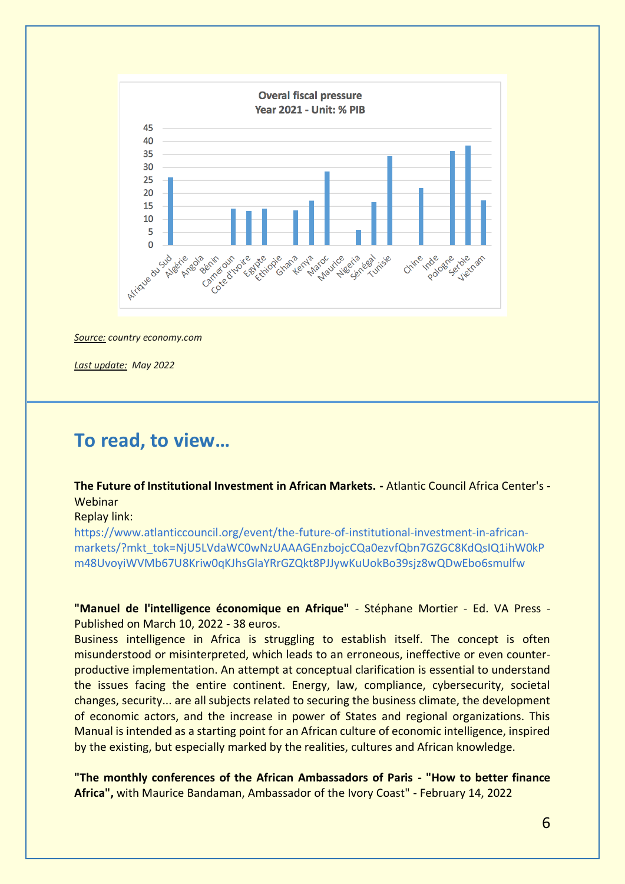

*Source: country economy.com*

*Last update: May 2022*

# **To read, to view…**

### **The Future of Institutional Investment in African Markets. -** Atlantic Council Africa Center's - Webinar

#### Replay link:

[https://www.atlanticcouncil.org/event/the-future-of-institutional-investment-in-african](https://www.atlanticcouncil.org/event/the-future-of-institutional-investment-in-african-markets/?mkt_tok=NjU5LVdaWC0wNzUAAAGEnzbojcCQa0ezvfQbn7GZGC8KdQsIQ1ihW0kPm48UvoyiWVMb67U8Kriw0qKJhsGlaYRrGZQkt8PJJywKuUokBo39sjz8wQDwEbo6smulfw)[markets/?mkt\\_tok=NjU5LVdaWC0wNzUAAAGEnzbojcCQa0ezvfQbn7GZGC8KdQsIQ1ihW0kP](https://www.atlanticcouncil.org/event/the-future-of-institutional-investment-in-african-markets/?mkt_tok=NjU5LVdaWC0wNzUAAAGEnzbojcCQa0ezvfQbn7GZGC8KdQsIQ1ihW0kPm48UvoyiWVMb67U8Kriw0qKJhsGlaYRrGZQkt8PJJywKuUokBo39sjz8wQDwEbo6smulfw) [m48UvoyiWVMb67U8Kriw0qKJhsGlaYRrGZQkt8PJJywKuUokBo39sjz8wQDwEbo6smulfw](https://www.atlanticcouncil.org/event/the-future-of-institutional-investment-in-african-markets/?mkt_tok=NjU5LVdaWC0wNzUAAAGEnzbojcCQa0ezvfQbn7GZGC8KdQsIQ1ihW0kPm48UvoyiWVMb67U8Kriw0qKJhsGlaYRrGZQkt8PJJywKuUokBo39sjz8wQDwEbo6smulfw)

**"Manuel de l'intelligence économique en Afrique"** - Stéphane Mortier - Ed. VA Press - Published on March 10, 2022 - 38 euros.

Business intelligence in Africa is struggling to establish itself. The concept is often misunderstood or misinterpreted, which leads to an erroneous, ineffective or even counterproductive implementation. An attempt at conceptual clarification is essential to understand the issues facing the entire continent. Energy, law, compliance, cybersecurity, societal changes, security... are all subjects related to securing the business climate, the development of economic actors, and the increase in power of States and regional organizations. This Manual is intended as a starting point for an African culture of economic intelligence, inspired by the existing, but especially marked by the realities, cultures and African knowledge.

**"The monthly conferences of the African Ambassadors of Paris - "How to better finance Africa",** with Maurice Bandaman, Ambassador of the Ivory Coast" - February 14, 2022